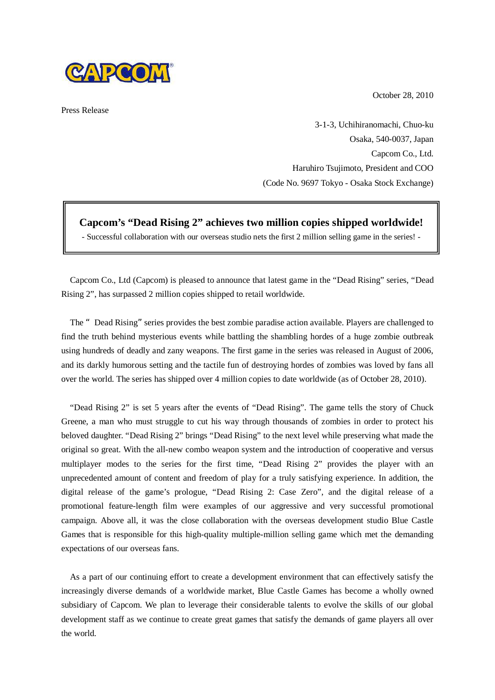October 28, 2010



Press Release

3-1-3, Uchihiranomachi, Chuo-ku Osaka, 540-0037, Japan Capcom Co., Ltd. Haruhiro Tsujimoto, President and COO (Code No. 9697 Tokyo - Osaka Stock Exchange)

**Capcom's "Dead Rising 2" achieves two million copies shipped worldwide!**

- Successful collaboration with our overseas studio nets the first 2 million selling game in the series! -

Capcom Co., Ltd (Capcom) is pleased to announce that latest game in the "Dead Rising" series, "Dead Rising 2", has surpassed 2 million copies shipped to retail worldwide.

The "Dead Rising" series provides the best zombie paradise action available. Players are challenged to find the truth behind mysterious events while battling the shambling hordes of a huge zombie outbreak using hundreds of deadly and zany weapons. The first game in the series was released in August of 2006, and its darkly humorous setting and the tactile fun of destroying hordes of zombies was loved by fans all over the world. The series has shipped over 4 million copies to date worldwide (as of October 28, 2010).

"Dead Rising 2" is set 5 years after the events of "Dead Rising". The game tells the story of Chuck Greene, a man who must struggle to cut his way through thousands of zombies in order to protect his beloved daughter. "Dead Rising 2" brings "Dead Rising" to the next level while preserving what made the original so great. With the all-new combo weapon system and the introduction of cooperative and versus multiplayer modes to the series for the first time, "Dead Rising 2" provides the player with an unprecedented amount of content and freedom of play for a truly satisfying experience. In addition, the digital release of the game's prologue, "Dead Rising 2: Case Zero", and the digital release of a promotional feature-length film were examples of our aggressive and very successful promotional campaign. Above all, it was the close collaboration with the overseas development studio Blue Castle Games that is responsible for this high-quality multiple-million selling game which met the demanding expectations of our overseas fans.

As a part of our continuing effort to create a development environment that can effectively satisfy the increasingly diverse demands of a worldwide market, Blue Castle Games has become a wholly owned subsidiary of Capcom. We plan to leverage their considerable talents to evolve the skills of our global development staff as we continue to create great games that satisfy the demands of game players all over the world.